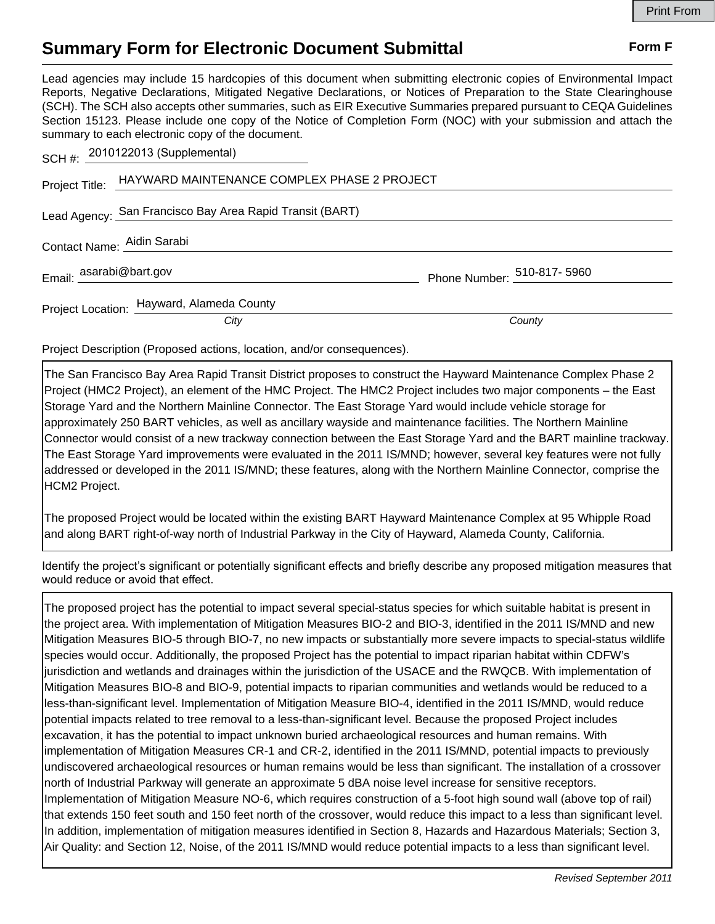## **Summary Form for Electronic Document Submittal Form F Form F**

Lead agencies may include 15 hardcopies of this document when submitting electronic copies of Environmental Impact Reports, Negative Declarations, Mitigated Negative Declarations, or Notices of Preparation to the State Clearinghouse (SCH). The SCH also accepts other summaries, such as EIR Executive Summaries prepared pursuant to CEQA Guidelines Section 15123. Please include one copy of the Notice of Completion Form (NOC) with your submission and attach the summary to each electronic copy of the document.

|                            | Project Title: HAYWARD MAINTENANCE COMPLEX PHASE 2 PROJECT |                             |
|----------------------------|------------------------------------------------------------|-----------------------------|
|                            | Lead Agency: San Francisco Bay Area Rapid Transit (BART)   |                             |
| Contact Name: Aidin Sarabi |                                                            |                             |
| Email: asarabi@bart.gov    |                                                            | Phone Number: 510-817- 5960 |
|                            | Project Location: Hayward, Alameda County                  |                             |
|                            | City                                                       | County                      |
|                            |                                                            |                             |

Project Description (Proposed actions, location, and/or consequences).

2010122013 (Supplemental)

The San Francisco Bay Area Rapid Transit District proposes to construct the Hayward Maintenance Complex Phase 2 Project (HMC2 Project), an element of the HMC Project. The HMC2 Project includes two major components – the East Storage Yard and the Northern Mainline Connector. The East Storage Yard would include vehicle storage for approximately 250 BART vehicles, as well as ancillary wayside and maintenance facilities. The Northern Mainline Connector would consist of a new trackway connection between the East Storage Yard and the BART mainline trackway. The East Storage Yard improvements were evaluated in the 2011 IS/MND; however, several key features were not fully addressed or developed in the 2011 IS/MND; these features, along with the Northern Mainline Connector, comprise the HCM2 Project.

The proposed Project would be located within the existing BART Hayward Maintenance Complex at 95 Whipple Road and along BART right-of-way north of Industrial Parkway in the City of Hayward, Alameda County, California.

Identify the project's significant or potentially significant effects and briefly describe any proposed mitigation measures that would reduce or avoid that effect.

The proposed project has the potential to impact several special-status species for which suitable habitat is present in the project area. With implementation of Mitigation Measures BIO-2 and BIO-3, identified in the 2011 IS/MND and new Mitigation Measures BIO-5 through BIO-7, no new impacts or substantially more severe impacts to special-status wildlife species would occur. Additionally, the proposed Project has the potential to impact riparian habitat within CDFW's jurisdiction and wetlands and drainages within the jurisdiction of the USACE and the RWQCB. With implementation of Mitigation Measures BIO-8 and BIO-9, potential impacts to riparian communities and wetlands would be reduced to a less-than-significant level. Implementation of Mitigation Measure BIO-4, identified in the 2011 IS/MND, would reduce potential impacts related to tree removal to a less-than-significant level. Because the proposed Project includes excavation, it has the potential to impact unknown buried archaeological resources and human remains. With implementation of Mitigation Measures CR-1 and CR-2, identified in the 2011 IS/MND, potential impacts to previously undiscovered archaeological resources or human remains would be less than significant. The installation of a crossover north of Industrial Parkway will generate an approximate 5 dBA noise level increase for sensitive receptors. Implementation of Mitigation Measure NO-6, which requires construction of a 5-foot high sound wall (above top of rail) that extends 150 feet south and 150 feet north of the crossover, would reduce this impact to a less than significant level. In addition, implementation of mitigation measures identified in Section 8, Hazards and Hazardous Materials; Section 3, Air Quality: and Section 12, Noise, of the 2011 IS/MND would reduce potential impacts to a less than significant level.